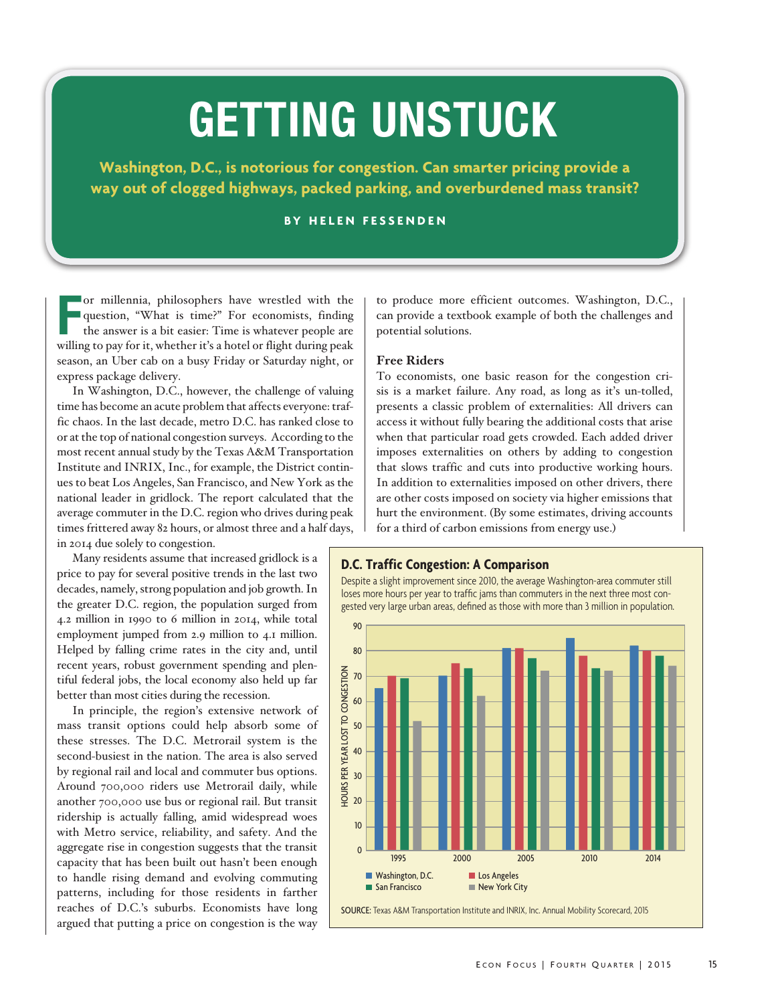# GETTING UNSTUCK

**Washington, D.C., is notorious for congestion. Can smarter pricing provide a way out of clogged highways, packed parking, and overburdened mass transit?**

# **BY HELEN FESSENDEN**

or millennia, philosophers have wrestled with the question, "What is time?" For economists, finding the answer is a bit easier: Time is whatever people are willing to pay for it, whether it's a hotel or flight during peak or millennia, philosophers have wrestled with the question, "What is time?" For economists, finding the answer is a bit easier: Time is whatever people are season, an Uber cab on a busy Friday or Saturday night, or express package delivery.

In Washington, D.C., however, the challenge of valuing time has become an acute problem that affects everyone: traffic chaos. In the last decade, metro D.C. has ranked close to or at the top of national congestion surveys. According to the most recent annual study by the Texas A&M Transportation Institute and INRIX, Inc., for example, the District continues to beat Los Angeles, San Francisco, and New York as the national leader in gridlock. The report calculated that the average commuter in the D.C. region who drives during peak times frittered away 82 hours, or almost three and a half days, in 2014 due solely to congestion.

Many residents assume that increased gridlock is a price to pay for several positive trends in the last two decades, namely, strong population and job growth. In the greater D.C. region, the population surged from 4.2 million in 1990 to 6 million in 2014, while total employment jumped from 2.9 million to 4.1 million. Helped by falling crime rates in the city and, until recent years, robust government spending and plentiful federal jobs, the local economy also held up far better than most cities during the recession.

In principle, the region's extensive network of mass transit options could help absorb some of these stresses. The D.C. Metrorail system is the second-busiest in the nation. The area is also served by regional rail and local and commuter bus options. Around 700,000 riders use Metrorail daily, while another 700,000 use bus or regional rail. But transit ridership is actually falling, amid widespread woes with Metro service, reliability, and safety. And the aggregate rise in congestion suggests that the transit capacity that has been built out hasn't been enough to handle rising demand and evolving commuting patterns, including for those residents in farther reaches of D.C.'s suburbs. Economists have long argued that putting a price on congestion is the way

to produce more efficient outcomes. Washington, D.C., can provide a textbook example of both the challenges and potential solutions.

#### **Free Riders**

To economists, one basic reason for the congestion crisis is a market failure. Any road, as long as it's un-tolled, presents a classic problem of externalities: All drivers can access it without fully bearing the additional costs that arise when that particular road gets crowded. Each added driver imposes externalities on others by adding to congestion that slows traffic and cuts into productive working hours. In addition to externalities imposed on other drivers, there are other costs imposed on society via higher emissions that hurt the environment. (By some estimates, driving accounts for a third of carbon emissions from energy use.)

## **D.C. Traffic Congestion: A Comparison**

Despite a slight improvement since 2010, the average Washington-area commuter still loses more hours per year to traffic jams than commuters in the next three most congested very large urban areas, defined as those with more than 3 million in population.

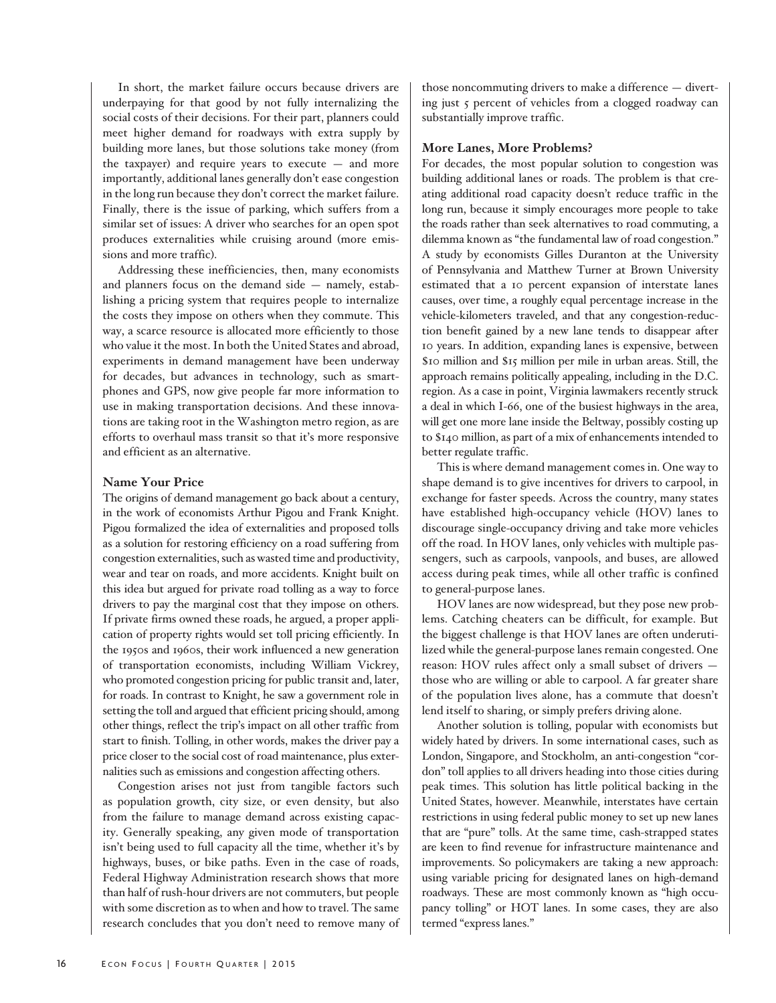In short, the market failure occurs because drivers are underpaying for that good by not fully internalizing the social costs of their decisions. For their part, planners could meet higher demand for roadways with extra supply by building more lanes, but those solutions take money (from the taxpayer) and require years to execute — and more importantly, additional lanes generally don't ease congestion in the long run because they don't correct the market failure. Finally, there is the issue of parking, which suffers from a similar set of issues: A driver who searches for an open spot produces externalities while cruising around (more emissions and more traffic).

Addressing these inefficiencies, then, many economists and planners focus on the demand side — namely, establishing a pricing system that requires people to internalize the costs they impose on others when they commute. This way, a scarce resource is allocated more efficiently to those who value it the most. In both the United States and abroad, experiments in demand management have been underway for decades, but advances in technology, such as smartphones and GPS, now give people far more information to use in making transportation decisions. And these innovations are taking root in the Washington metro region, as are efforts to overhaul mass transit so that it's more responsive and efficient as an alternative.

## **Name Your Price**

The origins of demand management go back about a century, in the work of economists Arthur Pigou and Frank Knight. Pigou formalized the idea of externalities and proposed tolls as a solution for restoring efficiency on a road suffering from congestion externalities, such as wasted time and productivity, wear and tear on roads, and more accidents. Knight built on this idea but argued for private road tolling as a way to force drivers to pay the marginal cost that they impose on others. If private firms owned these roads, he argued, a proper application of property rights would set toll pricing efficiently. In the 1950s and 1960s, their work influenced a new generation of transportation economists, including William Vickrey, who promoted congestion pricing for public transit and, later, for roads. In contrast to Knight, he saw a government role in setting the toll and argued that efficient pricing should, among other things, reflect the trip's impact on all other traffic from start to finish. Tolling, in other words, makes the driver pay a price closer to the social cost of road maintenance, plus externalities such as emissions and congestion affecting others.

Congestion arises not just from tangible factors such as population growth, city size, or even density, but also from the failure to manage demand across existing capacity. Generally speaking, any given mode of transportation isn't being used to full capacity all the time, whether it's by highways, buses, or bike paths. Even in the case of roads, Federal Highway Administration research shows that more than half of rush-hour drivers are not commuters, but people with some discretion as to when and how to travel. The same research concludes that you don't need to remove many of those noncommuting drivers to make a difference — diverting just 5 percent of vehicles from a clogged roadway can substantially improve traffic.

## **More Lanes, More Problems?**

For decades, the most popular solution to congestion was building additional lanes or roads. The problem is that creating additional road capacity doesn't reduce traffic in the long run, because it simply encourages more people to take the roads rather than seek alternatives to road commuting, a dilemma known as "the fundamental law of road congestion." A study by economists Gilles Duranton at the University of Pennsylvania and Matthew Turner at Brown University estimated that a 10 percent expansion of interstate lanes causes, over time, a roughly equal percentage increase in the vehicle-kilometers traveled, and that any congestion-reduction benefit gained by a new lane tends to disappear after 10 years. In addition, expanding lanes is expensive, between \$10 million and \$15 million per mile in urban areas. Still, the approach remains politically appealing, including in the D.C. region. As a case in point, Virginia lawmakers recently struck a deal in which I-66, one of the busiest highways in the area, will get one more lane inside the Beltway, possibly costing up to \$140 million, as part of a mix of enhancements intended to better regulate traffic.

This is where demand management comes in. One way to shape demand is to give incentives for drivers to carpool, in exchange for faster speeds. Across the country, many states have established high-occupancy vehicle (HOV) lanes to discourage single-occupancy driving and take more vehicles off the road. In HOV lanes, only vehicles with multiple passengers, such as carpools, vanpools, and buses, are allowed access during peak times, while all other traffic is confined to general-purpose lanes.

HOV lanes are now widespread, but they pose new problems. Catching cheaters can be difficult, for example. But the biggest challenge is that HOV lanes are often underutilized while the general-purpose lanes remain congested. One reason: HOV rules affect only a small subset of drivers those who are willing or able to carpool. A far greater share of the population lives alone, has a commute that doesn't lend itself to sharing, or simply prefers driving alone.

Another solution is tolling, popular with economists but widely hated by drivers. In some international cases, such as London, Singapore, and Stockholm, an anti-congestion "cordon" toll applies to all drivers heading into those cities during peak times. This solution has little political backing in the United States, however. Meanwhile, interstates have certain restrictions in using federal public money to set up new lanes that are "pure" tolls. At the same time, cash-strapped states are keen to find revenue for infrastructure maintenance and improvements. So policymakers are taking a new approach: using variable pricing for designated lanes on high-demand roadways. These are most commonly known as "high occupancy tolling" or HOT lanes. In some cases, they are also termed "express lanes."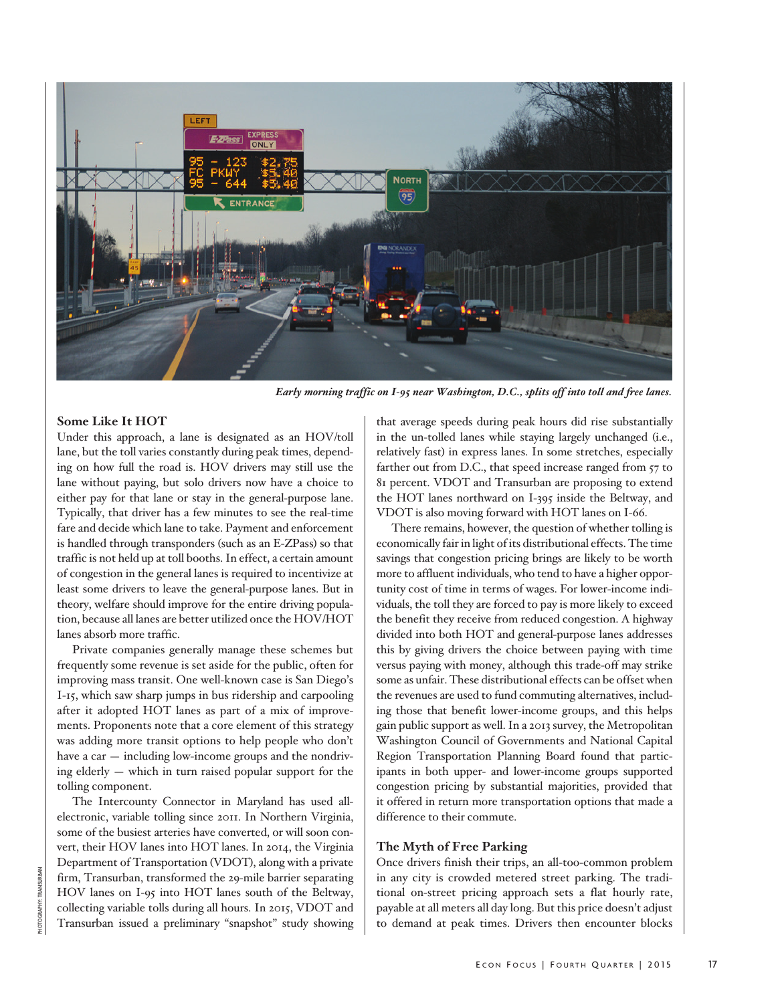

*Early morning traffic on I-95 near Washington, D.C., splits off into toll and free lanes.*

## **Some Like It HOT**

Under this approach, a lane is designated as an HOV/toll lane, but the toll varies constantly during peak times, depending on how full the road is. HOV drivers may still use the lane without paying, but solo drivers now have a choice to either pay for that lane or stay in the general-purpose lane. Typically, that driver has a few minutes to see the real-time fare and decide which lane to take. Payment and enforcement is handled through transponders (such as an E-ZPass) so that traffic is not held up at toll booths. In effect, a certain amount of congestion in the general lanes is required to incentivize at least some drivers to leave the general-purpose lanes. But in theory, welfare should improve for the entire driving population, because all lanes are better utilized once the HOV/HOT lanes absorb more traffic.

Private companies generally manage these schemes but frequently some revenue is set aside for the public, often for improving mass transit. One well-known case is San Diego's I-15, which saw sharp jumps in bus ridership and carpooling after it adopted HOT lanes as part of a mix of improvements. Proponents note that a core element of this strategy was adding more transit options to help people who don't have a car — including low-income groups and the nondriving elderly — which in turn raised popular support for the tolling component.

The Intercounty Connector in Maryland has used allelectronic, variable tolling since 2011. In Northern Virginia, some of the busiest arteries have converted, or will soon convert, their HOV lanes into HOT lanes. In 2014, the Virginia Department of Transportation (VDOT), along with a private firm, Transurban, transformed the 29-mile barrier separating HOV lanes on I-95 into HOT lanes south of the Beltway, collecting variable tolls during all hours. In 2015, VDOT and Transurban issued a preliminary "snapshot" study showing that average speeds during peak hours did rise substantially in the un-tolled lanes while staying largely unchanged (i.e., relatively fast) in express lanes. In some stretches, especially farther out from D.C., that speed increase ranged from 57 to 81 percent. VDOT and Transurban are proposing to extend the HOT lanes northward on I-395 inside the Beltway, and VDOT is also moving forward with HOT lanes on I-66.

There remains, however, the question of whether tolling is economically fair in light of its distributional effects. The time savings that congestion pricing brings are likely to be worth more to affluent individuals, who tend to have a higher opportunity cost of time in terms of wages. For lower-income individuals, the toll they are forced to pay is more likely to exceed the benefit they receive from reduced congestion. A highway divided into both HOT and general-purpose lanes addresses this by giving drivers the choice between paying with time versus paying with money, although this trade-off may strike some as unfair. These distributional effects can be offset when the revenues are used to fund commuting alternatives, including those that benefit lower-income groups, and this helps gain public support as well. In a 2013 survey, the Metropolitan Washington Council of Governments and National Capital Region Transportation Planning Board found that participants in both upper- and lower-income groups supported congestion pricing by substantial majorities, provided that it offered in return more transportation options that made a difference to their commute.

## **The Myth of Free Parking**

Once drivers finish their trips, an all-too-common problem in any city is crowded metered street parking. The traditional on-street pricing approach sets a flat hourly rate, payable at all meters all day long. But this price doesn't adjust to demand at peak times. Drivers then encounter blocks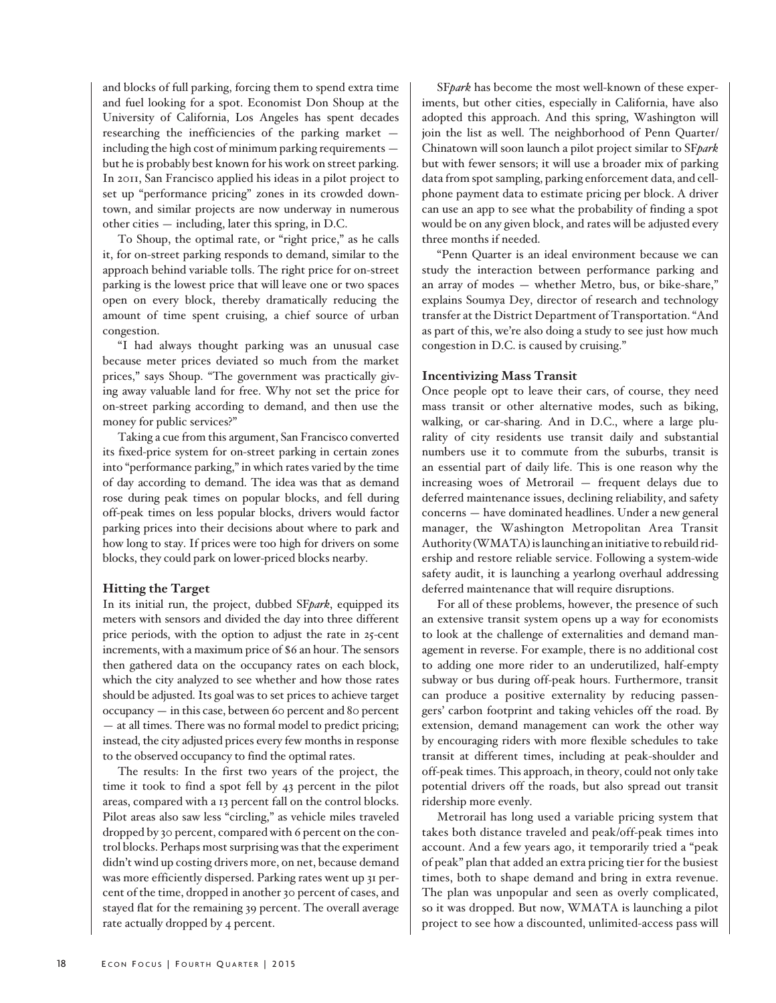and blocks of full parking, forcing them to spend extra time and fuel looking for a spot. Economist Don Shoup at the University of California, Los Angeles has spent decades researching the inefficiencies of the parking market including the high cost of minimum parking requirements but he is probably best known for his work on street parking. In 2011, San Francisco applied his ideas in a pilot project to set up "performance pricing" zones in its crowded downtown, and similar projects are now underway in numerous other cities — including, later this spring, in D.C.

To Shoup, the optimal rate, or "right price," as he calls it, for on-street parking responds to demand, similar to the approach behind variable tolls. The right price for on-street parking is the lowest price that will leave one or two spaces open on every block, thereby dramatically reducing the amount of time spent cruising, a chief source of urban congestion.

"I had always thought parking was an unusual case because meter prices deviated so much from the market prices," says Shoup. "The government was practically giving away valuable land for free. Why not set the price for on-street parking according to demand, and then use the money for public services?"

Taking a cue from this argument, San Francisco converted its fixed-price system for on-street parking in certain zones into "performance parking," in which rates varied by the time of day according to demand. The idea was that as demand rose during peak times on popular blocks, and fell during off-peak times on less popular blocks, drivers would factor parking prices into their decisions about where to park and how long to stay. If prices were too high for drivers on some blocks, they could park on lower-priced blocks nearby.

## **Hitting the Target**

In its initial run, the project, dubbed SF*park*, equipped its meters with sensors and divided the day into three different price periods, with the option to adjust the rate in 25-cent increments, with a maximum price of \$6 an hour. The sensors then gathered data on the occupancy rates on each block, which the city analyzed to see whether and how those rates should be adjusted. Its goal was to set prices to achieve target occupancy — in this case, between 60 percent and 80 percent — at all times. There was no formal model to predict pricing; instead, the city adjusted prices every few months in response to the observed occupancy to find the optimal rates.

The results: In the first two years of the project, the time it took to find a spot fell by 43 percent in the pilot areas, compared with a 13 percent fall on the control blocks. Pilot areas also saw less "circling," as vehicle miles traveled dropped by 30 percent, compared with 6 percent on the control blocks. Perhaps most surprising was that the experiment didn't wind up costing drivers more, on net, because demand was more efficiently dispersed. Parking rates went up 31 percent of the time, dropped in another 30 percent of cases, and stayed flat for the remaining 39 percent. The overall average rate actually dropped by 4 percent.

SF*park* has become the most well-known of these experiments, but other cities, especially in California, have also adopted this approach. And this spring, Washington will join the list as well. The neighborhood of Penn Quarter/ Chinatown will soon launch a pilot project similar to SF*park* but with fewer sensors; it will use a broader mix of parking data from spot sampling, parking enforcement data, and cellphone payment data to estimate pricing per block. A driver can use an app to see what the probability of finding a spot would be on any given block, and rates will be adjusted every three months if needed.

"Penn Quarter is an ideal environment because we can study the interaction between performance parking and an array of modes — whether Metro, bus, or bike-share," explains Soumya Dey, director of research and technology transfer at the District Department of Transportation. "And as part of this, we're also doing a study to see just how much congestion in D.C. is caused by cruising."

## **Incentivizing Mass Transit**

Once people opt to leave their cars, of course, they need mass transit or other alternative modes, such as biking, walking, or car-sharing. And in D.C., where a large plurality of city residents use transit daily and substantial numbers use it to commute from the suburbs, transit is an essential part of daily life. This is one reason why the increasing woes of Metrorail — frequent delays due to deferred maintenance issues, declining reliability, and safety concerns — have dominated headlines. Under a new general manager, the Washington Metropolitan Area Transit Authority (WMATA) is launching an initiative to rebuild ridership and restore reliable service. Following a system-wide safety audit, it is launching a yearlong overhaul addressing deferred maintenance that will require disruptions.

For all of these problems, however, the presence of such an extensive transit system opens up a way for economists to look at the challenge of externalities and demand management in reverse. For example, there is no additional cost to adding one more rider to an underutilized, half-empty subway or bus during off-peak hours. Furthermore, transit can produce a positive externality by reducing passengers' carbon footprint and taking vehicles off the road. By extension, demand management can work the other way by encouraging riders with more flexible schedules to take transit at different times, including at peak-shoulder and off-peak times. This approach, in theory, could not only take potential drivers off the roads, but also spread out transit ridership more evenly.

Metrorail has long used a variable pricing system that takes both distance traveled and peak/off-peak times into account. And a few years ago, it temporarily tried a "peak of peak" plan that added an extra pricing tier for the busiest times, both to shape demand and bring in extra revenue. The plan was unpopular and seen as overly complicated, so it was dropped. But now, WMATA is launching a pilot project to see how a discounted, unlimited-access pass will